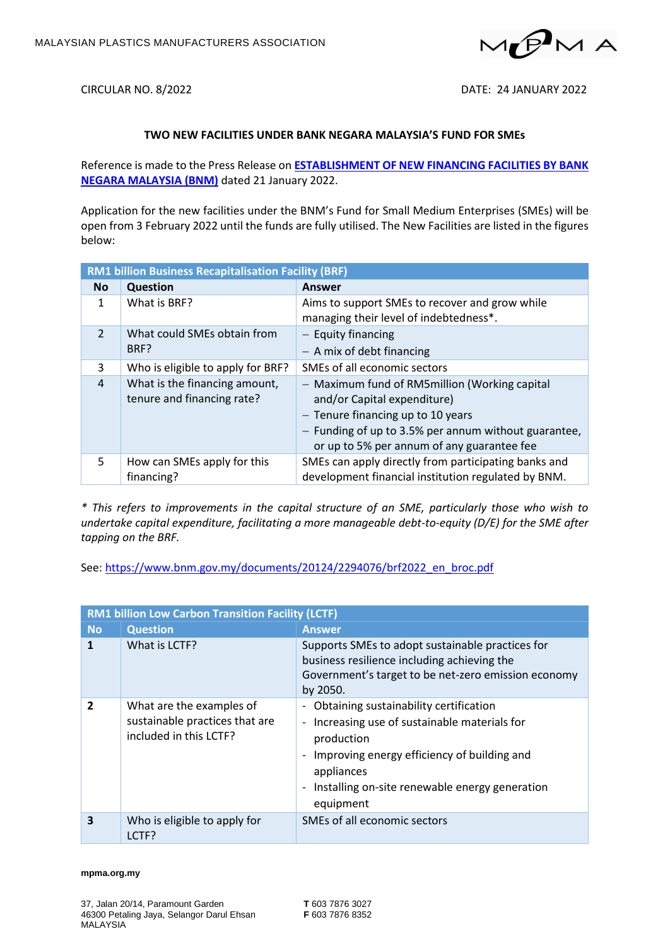

CIRCULAR NO. 8/2022 DATE: 24 JANUARY 2022

## **TWO NEW FACILITIES UNDER BANK NEGARA MALAYSIA'S FUND FOR SMEs**

Reference is made to the Press Release on **[ESTABLISHMENT OF NEW FINANCING FACILITIES BY BANK](https://mpma.org.my/v4/wp-content/uploads/2022/01/Establishment-of-New-Financing-Facilities-by-Bank-Negara-Malaysia.pdf)  [NEGARA MALAYSIA \(BNM\)](https://mpma.org.my/v4/wp-content/uploads/2022/01/Establishment-of-New-Financing-Facilities-by-Bank-Negara-Malaysia.pdf)** dated 21 January 2022.

Application for the new facilities under the BNM's Fund for Small Medium Enterprises (SMEs) will be open from 3 February 2022 until the funds are fully utilised. The New Facilities are listed in the figures below:

| <b>RM1 billion Business Recapitalisation Facility (BRF)</b> |                                                             |                                                                                                                                                                                                                           |  |  |
|-------------------------------------------------------------|-------------------------------------------------------------|---------------------------------------------------------------------------------------------------------------------------------------------------------------------------------------------------------------------------|--|--|
| <b>No</b>                                                   | <b>Question</b>                                             | Answer                                                                                                                                                                                                                    |  |  |
| 1                                                           | What is BRF?                                                | Aims to support SMEs to recover and grow while<br>managing their level of indebtedness*.                                                                                                                                  |  |  |
| $\overline{2}$                                              | What could SMEs obtain from<br>BRF?                         | $-$ Equity financing<br>$-$ A mix of debt financing                                                                                                                                                                       |  |  |
| 3                                                           | Who is eligible to apply for BRF?                           | SMEs of all economic sectors                                                                                                                                                                                              |  |  |
| 4                                                           | What is the financing amount,<br>tenure and financing rate? | - Maximum fund of RM5million (Working capital<br>and/or Capital expenditure)<br>$-$ Tenure financing up to 10 years<br>- Funding of up to 3.5% per annum without guarantee,<br>or up to 5% per annum of any guarantee fee |  |  |
| 5.                                                          | How can SMEs apply for this<br>financing?                   | SMEs can apply directly from participating banks and<br>development financial institution regulated by BNM.                                                                                                               |  |  |

*\* This refers to improvements in the capital structure of an SME, particularly those who wish to undertake capital expenditure, facilitating a more manageable debt-to-equity (D/E) for the SME after tapping on the BRF.*

See[: https://www.bnm.gov.my/documents/20124/2294076/brf2022\\_en\\_broc.pdf](https://www.bnm.gov.my/documents/20124/2294076/brf2022_en_broc.pdf)

| <b>RM1 billion Low Carbon Transition Facility (LCTF)</b> |                                                                                      |                                                                                                                                                                                                                                       |  |  |
|----------------------------------------------------------|--------------------------------------------------------------------------------------|---------------------------------------------------------------------------------------------------------------------------------------------------------------------------------------------------------------------------------------|--|--|
| <b>No</b>                                                | <b>Question</b>                                                                      | <b>Answer</b>                                                                                                                                                                                                                         |  |  |
| 1                                                        | What is LCTF?                                                                        | Supports SMEs to adopt sustainable practices for<br>business resilience including achieving the<br>Government's target to be net-zero emission economy<br>by 2050.                                                                    |  |  |
| $\overline{2}$                                           | What are the examples of<br>sustainable practices that are<br>included in this LCTF? | - Obtaining sustainability certification<br>- Increasing use of sustainable materials for<br>production<br>Improving energy efficiency of building and<br>appliances<br>- Installing on-site renewable energy generation<br>equipment |  |  |
| 3                                                        | Who is eligible to apply for<br>LCTF?                                                | SMEs of all economic sectors                                                                                                                                                                                                          |  |  |

## **mpma.org.my**